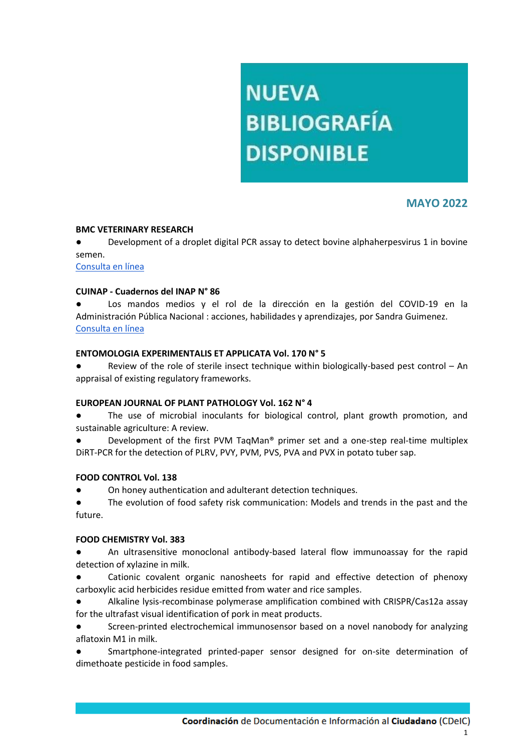# **NUEVA BIBLIOGRAFÍA DISPONIBLE**

# **MAYO 2022**

#### **BMC VETERINARY RESEARCH**

● Development of a droplet digital PCR assay to detect bovine alphaherpesvirus 1 in bovine semen.

[Consulta en línea](https://bmcvetres.biomedcentral.com/track/pdf/10.1186/s12917-022-03235-2.pdf)

#### **CUINAP - Cuadernos del INAP N° 86**

Los mandos medios y el rol de la dirección en la gestión del COVID-19 en la Administración Pública Nacional : acciones, habilidades y aprendizajes, por Sandra Guimenez. [Consulta en línea](https://publicaciones.inap.gob.ar/index.php/CUINAP/article/view/277/253)

#### **ENTOMOLOGIA EXPERIMENTALIS ET APPLICATA Vol. 170 N° 5**

● Review of the role of sterile insect technique within biologically-based pest control – An appraisal of existing regulatory frameworks.

#### **EUROPEAN JOURNAL OF PLANT PATHOLOGY Vol. 162 N° 4**

The use of microbial inoculants for biological control, plant growth promotion, and sustainable agriculture: A review.

Development of the first PVM TaqMan® primer set and a one-step real-time multiplex DiRT-PCR for the detection of PLRV, PVY, PVM, PVS, PVA and PVX in potato tuber sap.

#### **FOOD CONTROL Vol. 138**

On honey authentication and adulterant detection techniques.

The evolution of food safety risk communication: Models and trends in the past and the future.

#### **FOOD CHEMISTRY Vol. 383**

● An ultrasensitive monoclonal antibody-based lateral flow immunoassay for the rapid detection of xylazine in milk.

Cationic covalent organic nanosheets for rapid and effective detection of phenoxy carboxylic acid herbicides residue emitted from water and rice samples.

● Alkaline lysis-recombinase polymerase amplification combined with CRISPR/Cas12a assay for the ultrafast visual identification of pork in meat products.

● Screen-printed electrochemical immunosensor based on a novel nanobody for analyzing aflatoxin M1 in milk.

Smartphone-integrated printed-paper sensor designed for on-site determination of dimethoate pesticide in food samples.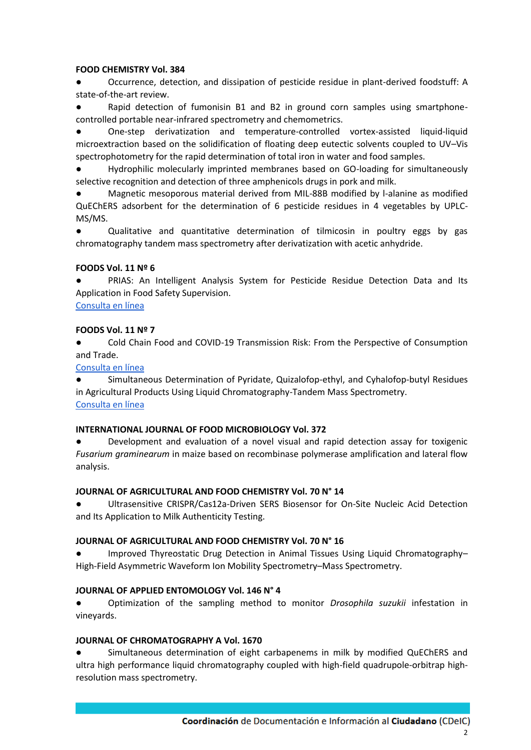#### **FOOD CHEMISTRY Vol. 384**

Occurrence, detection, and dissipation of pesticide residue in plant-derived foodstuff: A state-of-the-art review.

Rapid detection of fumonisin B1 and B2 in ground corn samples using smartphonecontrolled portable near-infrared spectrometry and chemometrics.

● One-step derivatization and temperature-controlled vortex-assisted liquid-liquid microextraction based on the solidification of floating deep eutectic solvents coupled to UV–Vis spectrophotometry for the rapid determination of total iron in water and food samples.

Hydrophilic molecularly imprinted membranes based on GO-loading for simultaneously selective recognition and detection of three amphenicols drugs in pork and milk.

Magnetic mesoporous material derived from MIL-88B modified by l-alanine as modified QuEChERS adsorbent for the determination of 6 pesticide residues in 4 vegetables by UPLC-MS/MS.

● Qualitative and quantitative determination of tilmicosin in poultry eggs by gas chromatography tandem mass spectrometry after derivatization with acetic anhydride.

# **FOODS Vol. 11 Nº 6**

PRIAS: An Intelligent Analysis System for Pesticide Residue Detection Data and Its Application in Food Safety Supervision.

# [Consulta en línea](https://www.ncbi.nlm.nih.gov/pmc/articles/PMC8947552/pdf/foods-11-00780.pdf)

# **FOODS Vol. 11 Nº 7**

Cold Chain Food and COVID-19 Transmission Risk: From the Perspective of Consumption and Trade.

[Consulta en línea](https://mdpi-res.com/d_attachment/foods/foods-11-00908/article_deploy/foods-11-00908-v2.pdf?version=1648038909)

Simultaneous Determination of Pyridate, Quizalofop-ethyl, and Cyhalofop-butyl Residues in Agricultural Products Using Liquid Chromatography-Tandem Mass Spectrometry. [Consulta en línea](https://mdpi-res.com/d_attachment/foods/foods-11-00899/article_deploy/foods-11-00899-v3.pdf?version=1651115762)

#### **INTERNATIONAL JOURNAL OF FOOD MICROBIOLOGY Vol. 372**

Development and evaluation of a novel visual and rapid detection assay for toxigenic *Fusarium graminearum* in maize based on recombinase polymerase amplification and lateral flow analysis.

# **JOURNAL OF AGRICULTURAL AND FOOD CHEMISTRY Vol. 70 N° 14**

Ultrasensitive CRISPR/Cas12a-Driven SERS Biosensor for On-Site Nucleic Acid Detection and Its Application to Milk Authenticity Testing.

#### **JOURNAL OF AGRICULTURAL AND FOOD CHEMISTRY Vol. 70 N° 16**

Improved Thyreostatic Drug Detection in Animal Tissues Using Liquid Chromatography– High-Field Asymmetric Waveform Ion Mobility Spectrometry–Mass Spectrometry.

#### **JOURNAL OF APPLIED ENTOMOLOGY Vol. 146 N° 4**

● Optimization of the sampling method to monitor *Drosophila suzukii* infestation in vineyards.

#### **JOURNAL OF CHROMATOGRAPHY A Vol. 1670**

Simultaneous determination of eight carbapenems in milk by modified QuEChERS and ultra high performance liquid chromatography coupled with high-field quadrupole-orbitrap highresolution mass spectrometry.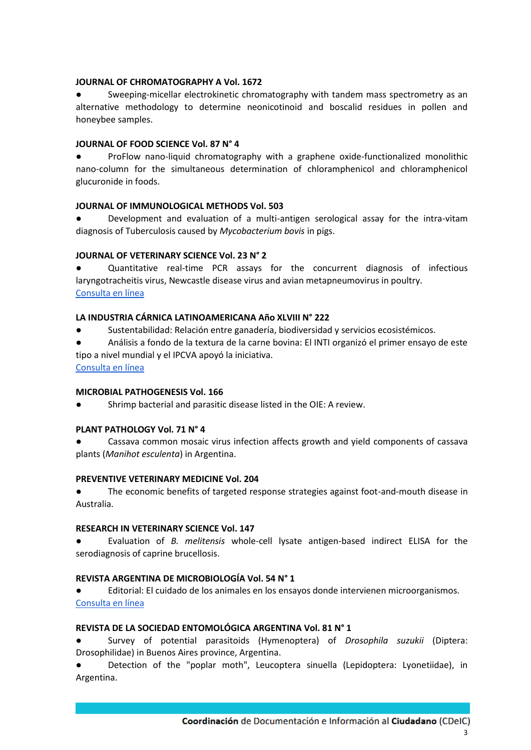#### **JOURNAL OF CHROMATOGRAPHY A Vol. 1672**

Sweeping-micellar electrokinetic chromatography with tandem mass spectrometry as an alternative methodology to determine neonicotinoid and boscalid residues in pollen and honeybee samples.

#### **JOURNAL OF FOOD SCIENCE Vol. 87 N° 4**

ProFlow nano-liquid chromatography with a graphene oxide-functionalized monolithic nano-column for the simultaneous determination of chloramphenicol and chloramphenicol glucuronide in foods.

#### **JOURNAL OF IMMUNOLOGICAL METHODS Vol. 503**

Development and evaluation of a multi-antigen serological assay for the intra-vitam diagnosis of Tuberculosis caused by *Mycobacterium bovis* in pigs.

#### **JOURNAL OF VETERINARY SCIENCE Vol. 23 N° 2**

Quantitative real-time PCR assays for the concurrent diagnosis of infectious laryngotracheitis virus, Newcastle disease virus and avian metapneumovirus in poultry. [Consulta en línea](https://www.vetsci.org/pdf/10.4142/jvs.21153)

#### **LA INDUSTRIA CÁRNICA LATINOAMERICANA Año XLVIII N° 222**

- Sustentabilidad: Relación entre ganadería, biodiversidad y servicios ecosistémicos.
- Análisis a fondo de la textura de la carne bovina: El INTI organizó el primer ensayo de este tipo a nivel mundial y el IPCVA apoyó la iniciativa.
- [Consulta en línea](https://publitec.com/wp-content/uploads/lic222_WEB.pdf)

#### **MICROBIAL PATHOGENESIS Vol. 166**

Shrimp bacterial and parasitic disease listed in the OIE: A review.

#### **PLANT PATHOLOGY Vol. 71 N° 4**

Cassava common mosaic virus infection affects growth and yield components of cassava plants (*Manihot esculenta*) in Argentina.

#### **PREVENTIVE VETERINARY MEDICINE Vol. 204**

● The economic benefits of targeted response strategies against foot-and-mouth disease in Australia.

#### **RESEARCH IN VETERINARY SCIENCE Vol. 147**

● Evaluation of *B. melitensis* whole-cell lysate antigen-based indirect ELISA for the serodiagnosis of caprine brucellosis.

#### **REVISTA ARGENTINA DE MICROBIOLOGÍA Vol. 54 N° 1**

Editorial: El cuidado de los animales en los ensayos donde intervienen microorganismos. [Consulta en línea](https://www.sciencedirect.com/science/article/pii/S0325754122000165)

#### **REVISTA DE LA SOCIEDAD ENTOMOLÓGICA ARGENTINA Vol. 81 N° 1**

● Survey of potential parasitoids (Hymenoptera) of *Drosophila suzukii* (Diptera: Drosophilidae) in Buenos Aires province, Argentina.

Detection of the "poplar moth", Leucoptera sinuella (Lepidoptera: Lyonetiidae), in Argentina.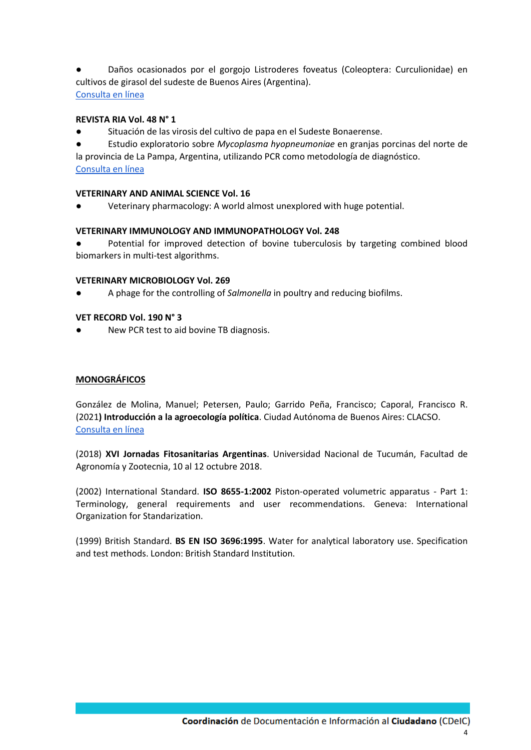Daños ocasionados por el gorgojo Listroderes foveatus (Coleoptera: Curculionidae) en cultivos de girasol del sudeste de Buenos Aires (Argentina). [Consulta en línea](https://www.biotaxa.org/RSEA/issue/view/10054)

#### **REVISTA RIA Vol. 48 N° 1**

Situación de las virosis del cultivo de papa en el Sudeste Bonaerense.

● Estudio exploratorio sobre *Mycoplasma hyopneumoniae* en granjas porcinas del norte de la provincia de La Pampa, Argentina, utilizando PCR como metodología de diagnóstico. [Consulta en línea](http://ria.inta.gob.ar/sites/default/files/numeros/ria-vol48-n1-abril-2022.pdf)

# **VETERINARY AND ANIMAL SCIENCE Vol. 16**

Veterinary pharmacology: A world almost unexplored with huge potential.

# **VETERINARY IMMUNOLOGY AND IMMUNOPATHOLOGY Vol. 248**

Potential for improved detection of bovine tuberculosis by targeting combined blood biomarkers in multi-test algorithms.

# **VETERINARY MICROBIOLOGY Vol. 269**

A phage for the controlling of *Salmonella* in poultry and reducing biofilms.

#### **VET RECORD Vol. 190 N° 3**

New PCR test to aid bovine TB diagnosis.

#### **MONOGRÁFICOS**

González de Molina, Manuel; Petersen, Paulo; Garrido Peña, Francisco; Caporal, Francisco R. (2021**) Introducción a la agroecología política**. Ciudad Autónoma de Buenos Aires: CLACSO. [Consulta en línea](https://www.clacso.org/introduccion-a-la-agroecologia-politica/)

(2018) **XVI Jornadas Fitosanitarias Argentinas**. Universidad Nacional de Tucumán, Facultad de Agronomía y Zootecnia, 10 al 12 octubre 2018.

(2002) International Standard. **ISO 8655-1:2002** Piston-operated volumetric apparatus - Part 1: Terminology, general requirements and user recommendations. Geneva: International Organization for Standarization.

(1999) British Standard. **BS EN ISO 3696:1995**. Water for analytical laboratory use. Specification and test methods. London: British Standard Institution.